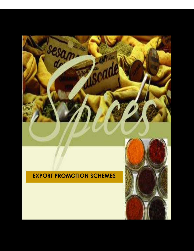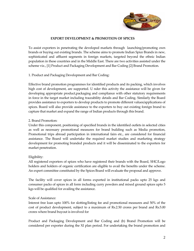

### EXPORT DEVELOPMENT & PROMOTION OF SPICES

To assist exporters in penetrating the developed markets through launching/promoting own brands or buying out existing brands. The scheme aims to promote Indian Spice Brands in new, sophisticated and affluent segments in foreign markets, targeted beyond the ethnic Indian population in these countries and in the Middle East. There are two activities assisted under the scheme viz., [1] Product and Packaging Development and Bar Coding [2] Brand Promotion.

# 1. Product and Packaging Development and Bar Coding:

Effective brand promotion programmes for identified products and its packing, which involves high cost of development, are supported. U nder this activity the assistance will be given for developing appropriate product,packaging and compliance with other statutory requirements in force in the target market including traceability details and Bar Coding. Similarly the Board provides assistance to exporters to develop products to promote different values/applications of spices. Board will also provide assistance to the exporters to buy out existing foreign brand to capture that market and expand the range of Indian products through this brand.

## 2. Brand Promotion:

Under this component, positioning of specified brands in the identified outlets in selected cities as well as necessary promotional measures for brand building such as Media promotion, Promotional trips abroad participation in international fairs etc., are considered for financial assistance. The Board will undertake the required market studies and marketing strategy development for promoting branded products and it will be disseminated to the exporters for market penetration.

# Eligibility:

All registered exporters of spices who have registered their brands with the Board, SHC/Logo holders and holders of organic certification are eligible to avail the benefits under the scheme. An expert committee constituted by the Spices Board will evaluate the proposal and approve.

The facility will cover spices in all forms exported in institutional packs upto 25 kgs and consumer packs of spices in all form including curry powders and mixed ground spices upto 5 kgs will be qualified for availing the assistance.

#### Scale of Assistance:

Interest free loan upto 100% for slotting/listing fee and promotional measures and 50% of the cost of product development, subject to a maximum of Rs.2.50 crores per brand and Rs.5.00 crores where brand buyout is involved for

Product and Packaging Development and Bar Coding and (b) Brand Promotion will be considered per exporter during the XI plan period. For undertaking the brand promotion and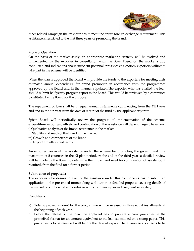

other related campaign the exporter has to meet the entire foreign exchange requirement. This assistance is restricted to the first three years of promoting the brand.

## Mode of Operation:

On the basis of the market study, an appropriate marketing strategy will be evolved and implemented by the exporter in consultation with the Board.Based on the market study conducted and indications about sufficient potential, prospective exporter/ exporters willing to take part in the scheme will be identified.

When the loan is approved the Board will provide the funds to the exporters for meeting their estimated annual expenditure for brand promotion in accordance with the programmes approved by the Board and in the manner stipulated.The exporter who has availed the loan should submit half yearly progress report to the Board. This would be reviewed by a committee constituted by the Board for the purpose.

The repayment of loan shall be in equal annual installments commencing from the 4TH year and end in the 8th year from the date of receipt of the fund by the applicant exporter.

Spices Board will periodically review the progress of implementation of the scheme; expenditure, export growth etc and continuation of the assistance will depend largely based on: i) Qualitative analysis of the brand acceptance in the market

- ii) Stability and reach of the brand in the market
- iii) Growth and competence of the brand
- iv) Export growth in real terms.

An exporter can avail the assistance under the scheme for promoting the given brand in a maximum of 5 countries in the XI plan period. At the end of the third year, a detailed review will be made by the Board to determine the impact and need for continuation of assistance, if required, from the fund for a further period.

#### Submission of proposals:

The exporter who desires to avail of the assistance under this components has to submit an application in the prescribed format along with copies of detailed proposal covering details of the market promotion to be undertaken with cost break up in each segment separately.

### Conditions:

- a) Total approved amount for the programme will be released in three equal installments at the beginning of each year.
- b) Before the release of the loan, the applicant has to provide a bank guarantee in the prescribed format for an amount equivalent to the loan sanctioned on a stamp paper. This guarantee is to be renewed well before the date of expiry. The guarantee also needs to be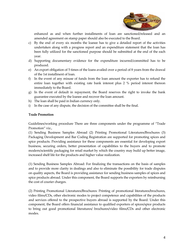

enhanced as and when further installments of loan are sanctioned/released and an amended agreement on stamp paper should also be executed to the Board.

- c) By the end of every six months the loanee has to give a detailed report of the activities undertaken along with a progress report and an expenditure statement that the loan has been fully utilized for the sanctioned purpose should be submitted at the end of the each year.
- d) Supporting documentary evidence for the expenditure incurred/committed has to be produced.
- e) An export obligation of 5 times of the loans availed over a period of 8 years from the drawal of the 1st installment of loan.
- f) In the event of any misuse of funds from the loan amount the exporter has to refund the entire loan together with existing rate bank interest plus 2 % period interest thereon immediately to the Board.
- g) In the event of default in repayment, the Board reserves the right to invoke the bank guarantee executed by the loanee and recover the loan amount.
- h) The loan shall be paid in Indian currency only.
- i) In the case of any dispute, the decision of the committee shall be the final.

## Trade Promotion

Guidelines/working procedure There are three components under the programme of "Trade Promotion" viz.,

(1) Sending Business Samples Abroad (2) Printing Promotional Literatures/Brochures (3) Packaging Development and Bar Coding Registration are supported for promoting spices and spice products. Providing assistance for these components are essential for developing export business, securing orders, better presentation of capabilities to the buyers and to promote modern/scientific packaging for retail market by which the country may build up better image, increased shelf life for the products and higher value realization.

(1) Sending Business Samples Abroad: For finalizing the transactions on the basis of samples and to provide more clarity in dealings and also to eliminate the possibility for trade disputes on quality aspects, the Board is providing assistance for sending business samples of spices and spice products abroad. Under this component, the Board supports the exporters by reimbursing the cost of courier charges.

(2) Printing Promotional Literatures/Brochures: Printing of promotional literatures/brochures, video films/CDs, other electronic modes to project competence and capabilities of the products and services offered to the prospective buyers abroad is supported by the Board. Under this component, the Board offers financial assistance to qualified exporters of spices/spice products to bring out good promotional literatures/ brochures/video films/CDs and other electronic modes.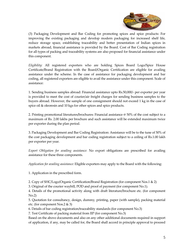

(3) Packaging Development and Bar Coding for promoting spices and spice products: For improving the existing packaging and develop modern packaging for increased shelf life, reduce storage space, establishing traceability and better presentation of Indian spices in markets abroad, financial assistance is provided by the Board. Cost of Bar Coding registration for all types of packing and traceability systems are also proposed for financial assistance under this component.

Eligibility: All registered exporters who are holding Spices Board Logo/Spice House Certificate/Brand Registration with the Board/Organic Certification are eligible for availing assistance under the scheme. In the case of assistance for packaging development and bar coding, all registered exporters are eligible to avail the assistance under this component. Scale of assistance:

1. Sending business samples abroad: Financial assistance upto Rs.50,000/- per exporter per year is provided to meet the cost of courier/air freight charges for sending business samples to the buyers abroad. However, the sample of one consignment should not exceed 1 kg in the case of spice oil & oleoresin and 10 kgs for other spices and spice products.

2. Printing promotional literatures/brochures: Financial assistance @ 50% of the cost subject to a maximum of Rs. 2.00 lakhs per brochure and such assistance will be extended maximum twice per exporter during the plan period.

3. Packaging Development and Bar Coding Registration: Assistance will be to the tune of 50% of the cost packaging development and bar coding registration subject to a ceiling of Rs.1.00 lakh per exporter per year.

Export Obligation for availing assistance: No export obligations are prescribed for availing assistance for these three components.

Application for availing assistance: Eligible exporters may apply to the Board with the following:

1. Application in the prescribed form.

2. Copy of SHC/Logo/Organic Certification/Brand Registration (for component Nos.1 & 2)

3. Original of the courier waybill, POD and proof of payment (for component No.1).

4. Details of the promotional activity along with draft literature/brochure etc. (for component No.2)

5. Quotation for consultancy, design, dummy, printing, paper (with sample), packing material etc. (for component Nos.2 & 3)

6. Details of bar coding registration/traceability standards (for component No.3)

7. Test Certificate of packing material from IIP (for component No.3)

Based on the above documents and also on any other additional documents required in support of application, if any, may be called for, the Board shall accord in principle approval to proceed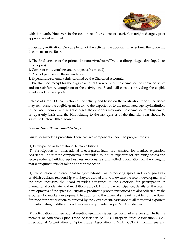

with the work. However, in the case of reimbursement of courier/air freight charges, prior approval is not required.

Inspection/verification: On completion of the activity, the applicant may submit the following documents to the Board:

1. The final version of the printed literature/brochure/CD/video film/packages developed etc. (two copies)

- 2. Copies of bills, vouchers and receipts (self attested)
- 3. Proof of payment of the expenditure
- 4. Expenditure statement duly certified by the Chartered Accountant

5. Pre-stamped receipt for the eligible amount On receipt of the claims for the above activities and on satisfactory completion of the activity, the Board will consider providing the eligible grant in aid to the exporter.

Release of Grant: On completion of the activity and based on the verification report, the Board may reimburse the eligible grant in aid to the exporter or to the nominated agency/institution. In the case if courier /air freight charges, the exporters may raise the claims for reimbursement on quarterly basis and the bills relating to the last quarter of the financial year should be submitted before 20th of March.

# "International Trade Fairs/Meetings"

Guidelines/working procedure There are two components under the programme viz.,

(1) Participation in International fairs/exhibitions

(2) Participation in International meetings/seminars are assisted for market expansion. Assistance under these components is provided to induce exporters for exhibiting spices and spice products, building up business relationships and collect information on the changing market requirements for taking appropriate action.

(1) Participation in International fairs/exhibitions: For introducing spices and spice products, establish business relationship with buyers abroad and to showcase the recent developments of the spice industry, the Board provides assistance to the exporters for participation in international trade fairs and exhibitions abroad. During the participation, details on the recent developments of the spice industry/new products / process introduced are also collected by the exporters for market development. In addition to the financial support provided by the Board for trade fair participation, as directed by the Government, assistance to all registered exporters for participating in different food fairs are also provided as per MDA guidelines.

(2) Participation in International meetings/seminars is assisted for market expansion. India is a member of American Spice Trade Association (ASTA), European Spice Association (ESA), International Organization of Spice Trade Association (IOSTA), CODEX Committees and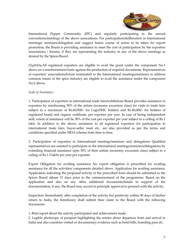

International Pepper Community (IPC) and regularly participating in the annual conventions/meetings of the above associations. For participation/deliberation in international meetings/ seminars/delegation and suggest future course of action to be taken for export promotion, the Board is providing assistance to meet the cost of participation by the exporters associations / forums, if they are representing the industry in any of the above meetings as desired by the Spices Board.

Eligibility:All registered exporters are eligible to avail the grant under the component No.1 above on a reimbursement basis against the production of required documents. Representatives of exporters' associations/forum nominated to the International meetings/seminars to address common issues of the spice industry are eligible to avail the assistance under the component No.2 above.

## Scale of Assistance:

1. Participation of exporters in international trade fairs/exhibitions Board provides assistance to exporters by reimbursing 50% of the airfare (economy excursion class) for visits to trade fairs subject to a maximum of Rs.60,000/- for Logo/SHC holders and Rs.40,000/- for holders of registered brand and organic certificate, per exporter per year. In case of hiring independent stall, extent of assistance will be 50% of the cost per exporter per year subject to a ceiling of Rs.1 lakh. In addition to the above, assistance to all registered exporters for participation in international trade fairs, buyer-seller meet etc., are also provided as per the terms and conditions specified under MDA scheme from time to time.

2. Participation of exporters in International meetings/seminars and delegations Qualified representatives are assisted to participate in the international meetings/seminars/delegations by extending financial assistance upto 50% of their airfare (economy excursion class) subject to a ceiling of Rs.1.5 lakhs per year per exporter.

Export Obligation for availing assistance No export obligation is prescribed for availing assistance for all the activities/ components detailed above. Application for availing assistance: Application indicating the proposed activity in the prescribed form should be submitted to the Spices Board atleast 15 days prior to the commencement of the programme. Based on the application and also on any other additional documents/details in support of the documentation, if any, the Board may accord in principle approval to proceed with the activity.

Inspection: Immediately after completion of the activity but positively within 90 days of his/her return to India, the beneficiary shall submit their claim to the Board with the following documents:

1. Brief report about the activity participated and achievement made.

2. Legible photocopy of passport highlighting the entries about departure from and arrival in India and also countries visited or documentary evidence such as hotel bills, boarding pass etc.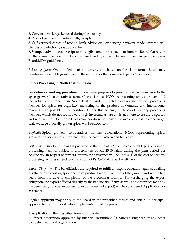

3. Copy of air ticket/jacket used during the journey.

4. Proof of payment for airfare (bills/receipts)

5. Self certified copies of receipt, bank advise etc., evidencing payment made towards stall charges and electricity (as applicable)

6. Stamped advance cash receipt to the eligible amount for payment from the Board. On receipt of the claim, the case will be considered and grant will be reimbursed as per the Spices Board/MDA guidelines.

Release of grant: On completion of the activity and based on the claim forms, Board may reimburse the eligible grant in aid to the exporter or the nominated agency/institution.

# Spices Processing in North Eastern Region

Guidelines / working procedure: This scheme proposes to provide financial assistance to the spice growers' co-operatives, farmers' associations, NGOs representing spices growers and individual entrepreneurs in North Eastern and hill states to establish primary processing facilities for spices for organized marketing of the produce in domestic and international markets with possible value addition. Under this scheme, all types of primary processing facilities, which do not require very high investments, are envisaged here to ensure dispersed and relatively low to middle level value addition, particularly to avoid distress sale and largescale wastage of locally grown spices will be supported.

Eligibility:Spices growers' co-operatives, farmers' associations, NGOs representing spices growers and individual entrepreneurs in the North Eastern and hill states.

Scale of assistance:Grant in aid is provided to the tune of 33% of the cost of all types of primary processing facilities subject to a maximum of Rs. 25.00 lakhs during the plan period per beneficiary. In respect of farmers' groups the assistance will be upto 50% of the cost of primary processing facilities subject to a maximum of Rs.35.00 lakhs per beneficiary.

Export Obligation: The beneficiaries are required to fulfill an export obligation against availing assistance by exporting spice and spice products worth five times of the grant in aid within five years from the date of completion of the processing facilities. For discharging the export obligation, the export effected directly by the beneficiary, if any, as well as the supplies made by the beneficiary to other exporters for export (deemed export) will be considered. Application for assistance

Eligible applicant may apply to the Board in the prescribed format and obtain 'in-principal' approval to their proposal before implementation of the project.

1. Application in the prescribed form in duplicate

2. Project description appraised by financial institutions / Chartered Engineer or any other competent technical organization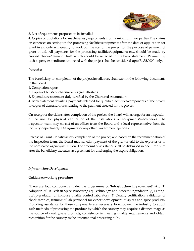

### 3. List of equipments proposed to be installed

4. Copies of quotations for machineries / equipments from a minimum two parties The claims on expenses on setting up the processing facilities/equipments after the date of application for grant in aid only will qualify to work out the cost of the project for the purpose of payment of grant in aid. All payments for the processing facilities/equipments etc., should be made by crossed cheque/demand draft, which should be reflected in the bank statement. Payment by cash to petty expenditure connected with the project shall be considered upto Rs.35,000/- only.

## Inspection

The beneficiary on completion of the project/installation, shall submit the following documents to the Board:

- 1. Completion report
- 2. Copies of bills/vouchers/receipts (self attested)
- 3. Expenditure statement duly certified by the Chartered Accountant

4. Bank statement detailing payments released for qualified activities/components of the project or copies of demand drafts relating to the payment effected for the project.

On receipt of the claims after completion of the project, the Board will arrange for an inspection of the unit for physical verification of the installations of equipments/machineries. The inspection team may consist of an officer from the Board and a local representative from the industry department/EIA/ Agmark or any other Government agencies.

Release of Grant On satisfactory completion of the project, and based on the recommendation of the inspection team, the Board may sanction payment of the grant-in-aid to the exporter or to the nominated agency/institution. The amount of assistance shall be disbursed in one lump sum after the beneficiary executes an agreement for discharging the export obligation.

#### Infrastructure Development

#### Guidelines/working procedure:

 There are four components under the programme of 'Infrastructure Improvement' viz., (1) Adoption of Hi-Tech in Spice Processing (2) Technology and process upgradation (3) Settingup/up-gradation of in-house quality control laboratory (4) Quality certification, validation of check samples, training of lab personnel for export development of spices and spice products. Providing assistance for these components are necessary to empower the industry to adopt such methods of processing the produce by which the country may acquire a distinct image as the source of quality/safe products, consistency in meeting quality requirements and obtain recognition for the country as the 'international processing hub'.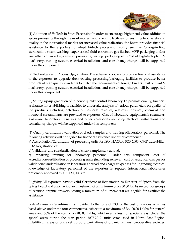

(1) Adoption of Hi-Tech in Spice Processing In order to encourage higher end value addition in spices processing through the most modern and scientific facilities for ensuring food safety and quality in the international market for increased value realization, the Board provides financial assistance to the exporters to adopt hi-tech processing facility such as Cryo-grinding, sterilization, steam washing, super critical fluid extraction, gas flushed MVP packaging and/or any other advanced systems in processing, testing, packaging etc. Cost of high-tech plant & machinery, packing system, electrical installations and consultancy charges will be supported under the component.

(2) Technology and Process Upgradation: The scheme proposes to provide financial assistance to the exporters to upgrade their existing processing/packaging facilities to produce better products of high quality standards to match the requirements of foreign buyers. Cost of plant & machinery, packing system, electrical installations and consultancy charges will be supported under this component.

(3) Setting-up/up-gradation of in-house quality control laboratory To promote quality, financial assistance for establishing of facilities to undertake analysis of various parameters on quality of the products including detection of pesticide residues, aflatoxin, physical, chemical and microbial contaminants are provided to exporters. Cost of laboratory equipments/instruments, glassware, laboratory furnitures and other accessories including electrical installations and consultancy charges will be supported under this component.

(4) Quality certification, validation of check samples and training oflaboratory personnel. The following activities will be eligible for financial assistance under this component:

a) Accreditation/Certification of processing units for ISO, HACCP, SQF 2000, GMP traceability, FDA Registration etc.

b) Validation and standardization of check samples sent abroad.

c) Imparting training for laboratory personnel. Under this component, cost of accreditation/certification of processing units (including renewal), cost of analytical charges for validation/standardization in laboratories abroad and charges/expenses for upgrading technical knowledge of laboratory personnel of the exporters in reputed international laboratories preferably approved by USFDA, EU etc.

Eligibility:All exporters having valid Certificate of Registration as Exporter of Spices from the Spices Board and also having an investment of a minimum of Rs.50.00 Lakhs (except for groups of certified organic growers having a minimum of 50 members) are eligible for availing the assistance.

Scale of assistance:Grant-in-aid is provided to the tune of 33% of the cost of various activities listed above under the four components, subject to a maximum of Rs.100.00 Lakhs for general areas and 50% of the cost or Rs.200.00 Lakhs, whichever is less, for special areas. Under the special areas during the plan period 2007-2012, units established in North East Region, hill/difficult areas or units set up by organizations of organic farmers, co-operative societies,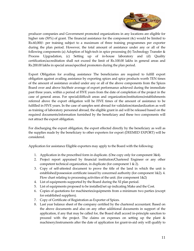

producer companies and Government promoted organizations in any locations are eligible for higher rate (50%) of grant. The financial assistance for the component (4c) would be limited to Rs.60,000/- per training subject to a maximum of three training programmes per exporter during the plan period. However, the total amount of assistance under any or all of the following components (a) Adoption of high-tech in spice processing (b) Technology Transfer & Process Upgradation, (c) Setting up of in-house laboratory and (d) Quality certification/accreditation shall not exceed the limit of Rs.100.00 lakhs in general areas and Rs.200.00 lakhs in special areas/specified promoters during the plan period.

Export Obligation for availing assistance The beneficiaries are required to fulfill export obligation against availing assistance by exporting spices and spice products worth TEN times of the amount of assistance availed under any or all of the above components from the Spices Board over and above his/their average of export performance achieved during the immediate past three years, within a period of FIVE years from the date of completion of the project in the case of general areas. For special/difficult areas and organization/institutions/establishments referred above the export obligation will be FIVE times of the amount of assistance to be fulfilled in FIVE years. In the case of samples sent abroad for validation/standardization as well as training of laboratory personnel abroad, the eligible grant in aid will be released based on the required documents/information furnished by the beneficiary and these two components will not attract the export obligation.

For discharging the export obligation, the export effected directly by the beneficiary as well as the supplies made by the beneficiary to other exporters for export (DEEMED EXPORT) will be considered.

Application for assistance Eligible exporters may apply to the Board with the following:

- 1. Application in the prescribed form in duplicate. (One copy only for component 3&4).
- 2. Project report appraised by financial institution/Chartered Engineer or any other competent technical organization, in duplicate (for component 1 & 2).
- 3. Copy of self-attested document to prove the title of the land in which the unit is established/possession certificate issued by concerned authority (for component 1&2). 4. Flow chart relating to processing activities of the unit. (for component 1&2)
- 4. List of equipments supported by the Board during the XI plan period.
- 5. List of equipments proposed to be installed/set up indicating Make and the Cost.
- 6. Copies of quotations for machineries/equipments from a minimum two parties (except for established suppliers).
- 7. Copy of Certificate of Registration as Exporter of Spices.
- 8. Last year balance sheet of the company certified by the chartered accountant. Based on the above documents and also on any other additional documents in support of the application, if any that may be called for, the Board shall accord in-principle sanction to proceed with the project. The claims on expenses on setting up the plant & machinery/instruments after the date of application for grant-in-aid only will qualify to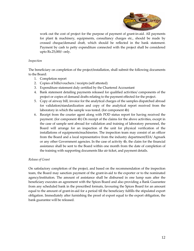

work out the cost of project for the purpose of payment of grant-in-aid. All payments for plant & machinery, equipments, consultancy charges etc., should be made by crossed cheque/demand draft, which should be reflected in the bank statement. Payment by cash to petty expenditure connected with the project shall be considered upto Rs.25,000/- only.

### Inspection

The beneficiary on completion of the project/installation, shall submit the following documents to the Board:

- 1. Completion report
- 2. Copies of bills/vouchers / receipts (self attested)
- 3. Expenditure statement duly certified by the Chartered Accountant
- 4. Bank statement detailing payments released for qualified activities/ components of the project or copies of demand drafts relating to the payment effected for the project.
- 5. Copy of airway bill, invoice for the analytical charges of the samples dispatched abroad for validation/standardization and copy of the analytical report received from the laboratory in which the sample was tested. (for component 4b)
- 6. Receipt from the courier agent along with POD status report for having received the payment. (for component 4b) On receipt of the claims for the above activities, except in the case of sample sent abroad for validation and training of laboratory personnel, the Board will arrange for an inspection of the unit for physical verification of the installations of equipments/machineries. The inspection team may consist of an officer from the Board and a local representative from the industry department/EIA/ Agmark or any other Government agencies. In the case of activity 4b, the claim for the financial assistance shall be sent to the Board within one month from the date of completion of the training with supporting documents like air ticket, and payment details.

#### Release of Grant

On satisfactory completion of the project, and based on the recommendation of the inspection team, the Board may sanction payment of the grant-in-aid to the exporter or to the nominated agency/institution. The amount of assistance shall be disbursed in one lump sum after the beneficiary executes an agreement with the Spices Board and also providing a Bank Guarantee from any scheduled bank in the prescribed formats, favouring the Spices Board for an amount equal to the amount of grant-in-aid for a period till the beneficiary fulfills the stipulated export obligation. Immediately after furnishing the proof of export equal to the export obligation, the bank guarantee will be released.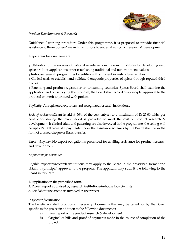

## Product Development & Research

Guidelines / working procedure Under this programme, it is proposed to provide financial assistance to the exporters/research institutions to undertake product research & development.

Major areas for assistance are:

 $\Gamma$  Utilization of the services of national or international research institutes for developing new spice products/applications or for establishing traditional and non-traditional values.

In-house research programmes by entities with sufficient infrastructure facilities.

 Clinical trials to establish and validate therapeutic properties of spices through reputed third parties.

 Patenting and product registration in consuming countries. Spices Board shall examine the application and on satisfying the proposal, the Board shall accord 'in-principle' approval to the proposal on merit to proceed with project.

Eligibility: All registered exporters and recognized research institutions.

Scale of assistance:Grant in aid @ 50% of the cost subject to a maximum of Rs.25.00 lakhs per beneficiary during the plan period is provided to meet the cost of product research  $\&$ development. If clinical trials and patenting are also involved in the programme, the ceiling will be upto Rs.1.00 crore. All payments under the assistance schemes by the Board shall be in the form of crossed cheque or Bank transfer.

Export obligation:No export obligation is prescribed for availing assistance for product research and development.

# Application for assistance

Eligible exporters/research institutions may apply to the Board in the prescribed format and obtain 'in-principal' approval to the proposal. The applicant may submit the following to the Board in triplicate

- 1. Application in the prescribed form.
- 2. Project report appraised by research institutions/in-house lab scientists
- 3. Brief about the scientists involved in the project

#### Inspection/verification

The beneficiary shall produce all necessary documents that may be called for by the Board specific to the project in addition to the following documents:

- a) Final report of the product research & development
- b) Original of bills and proof of payments made in the course of completion of the project.